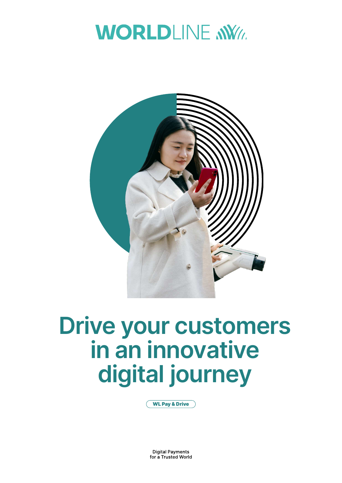



# **Drive your customers in an innovative digital journey**

WL Pay & Drive

**Digital Payments** for a Trusted World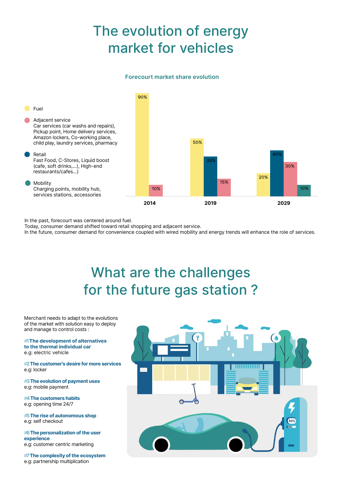# The evolution of energy market for vehicles

### **Forecourt market share evolution**



In the past, forecourt was centered around fuel.

Today, consumer demand shifted toward retail shopping and adjacent service.

In the future, consumer demand for convenience coupled with wired mobility and energy trends will enhance the role of services.

## What are the challenges for the future gas station ?

Merchant needs to adapt to the evolutions of the market with solution easy to deploy and manage to control costs :

#**1 The development of alternatives to the thermal individual car** e.g: electric vehicle

#**2 The customer's desire for more services**  e.g: locker

#**3 The evolution of payment uses** e.g: mobile payment

#**4 The customers habits** e.g: opening time 24/7

#**5 The rise of autonomous shop** e.g: self checkout

#**6 The personalization of the user experience** e.g: customer centric marketing

#**7 The complexity of the ecosystem** e.g: partnership multiplication

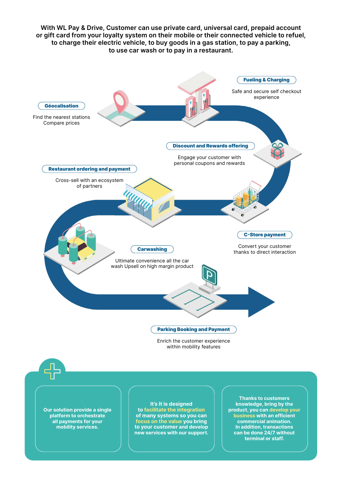

**Our solution provide a single platform to orchestrate all payments for your mobility services.**

**to facilitate the integration of many systems so you can focus on the value you bring to your customer and develop new services with our support.**  **product, you can develop your business with an efficient commercial animation. In addition, transactions can be done 24/7 without terminal or staff.**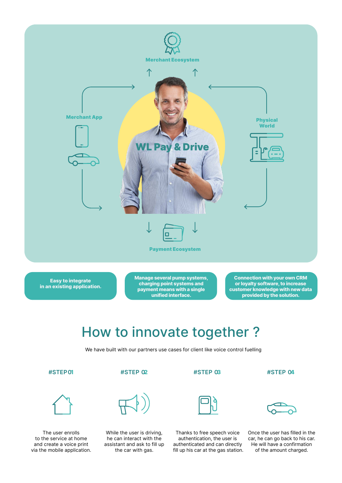

**Easy to integrate in an existing application.** **Manage several pump systems, charging point systems and payment means with a single unified interface.**

**Connection with your own CRM or loyalty software, to increase customer knowledge with new data provided by the solution.**

### How to innovate together ?

We have built with our partners use cases for client like voice control fuelling



The user enrolls to the service at home and create a voice print via the mobile application.







he can interact with the assistant and ask to fill up the car with gas.

Thanks to free speech voice authentication, the user is authenticated and can directly fill up his car at the gas station.



Once the user has filled in the car, he can go back to his car. He will have a confirmation of the amount charged.